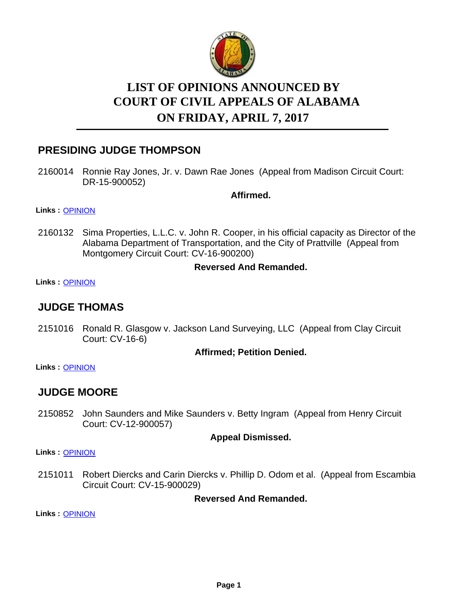

# **LIST OF OPINIONS ANNOUNCED BY ON FRIDAY, APRIL 7, 2017 COURT OF CIVIL APPEALS OF ALABAMA**

# **PRESIDING JUDGE THOMPSON**

2160014 Ronnie Ray Jones, Jr. v. Dawn Rae Jones (Appeal from Madison Circuit Court: DR-15-900052)

**Affirmed.**

**Links :** [OPINION](https://acis.alabama.gov/displaydocs.cfm?no=795581&event=4W00L6R63)

2160132 Sima Properties, L.L.C. v. John R. Cooper, in his official capacity as Director of the Alabama Department of Transportation, and the City of Prattville (Appeal from Montgomery Circuit Court: CV-16-900200)

#### **Reversed And Remanded.**

**Links :** [OPINION](https://acis.alabama.gov/displaydocs.cfm?no=795583&event=4W00L6RHC)

### **JUDGE THOMAS**

2151016 Ronald R. Glasgow v. Jackson Land Surveying, LLC (Appeal from Clay Circuit Court: CV-16-6)

#### **Affirmed; Petition Denied.**

**Links :** [OPINION](https://acis.alabama.gov/displaydocs.cfm?no=795580&event=4W00L6QSN)

# **JUDGE MOORE**

2150852 John Saunders and Mike Saunders v. Betty Ingram (Appeal from Henry Circuit Court: CV-12-900057)

#### **Appeal Dismissed.**

**Links :** [OPINION](https://acis.alabama.gov/displaydocs.cfm?no=795578&event=4W00L6QES)

2151011 Robert Diercks and Carin Diercks v. Phillip D. Odom et al. (Appeal from Escambia Circuit Court: CV-15-900029)

**Reversed And Remanded.**

**Links :** [OPINION](https://acis.alabama.gov/displaydocs.cfm?no=795579&event=4W00L6QKV)